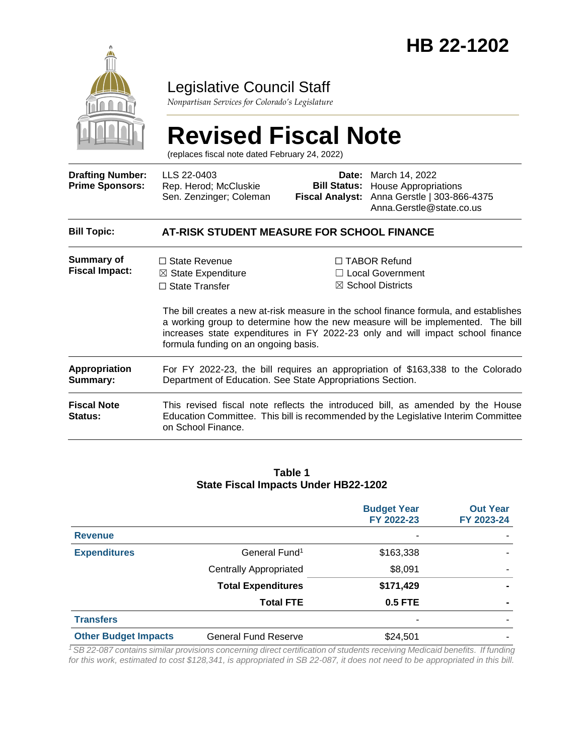

### Legislative Council Staff

*Nonpartisan Services for Colorado's Legislature*

# **Revised Fiscal Note**

(replaces fiscal note dated February 24, 2022)

| <b>Drafting Number:</b><br><b>Prime Sponsors:</b> | LLS 22-0403<br>Rep. Herod; McCluskie<br>Sen. Zenzinger; Coleman                                                                                                                            |  | <b>Date:</b> March 14, 2022<br><b>Bill Status:</b> House Appropriations<br>Fiscal Analyst: Anna Gerstle   303-866-4375<br>Anna.Gerstle@state.co.us                                                                                                                                                                                          |  |  |  |
|---------------------------------------------------|--------------------------------------------------------------------------------------------------------------------------------------------------------------------------------------------|--|---------------------------------------------------------------------------------------------------------------------------------------------------------------------------------------------------------------------------------------------------------------------------------------------------------------------------------------------|--|--|--|
| <b>Bill Topic:</b>                                | AT-RISK STUDENT MEASURE FOR SCHOOL FINANCE                                                                                                                                                 |  |                                                                                                                                                                                                                                                                                                                                             |  |  |  |
| <b>Summary of</b><br><b>Fiscal Impact:</b>        | $\Box$ State Revenue<br>$\boxtimes$ State Expenditure<br>$\Box$ State Transfer<br>formula funding on an ongoing basis.                                                                     |  | $\Box$ TABOR Refund<br>$\Box$ Local Government<br>$\boxtimes$ School Districts<br>The bill creates a new at-risk measure in the school finance formula, and establishes<br>a working group to determine how the new measure will be implemented. The bill<br>increases state expenditures in FY 2022-23 only and will impact school finance |  |  |  |
| Appropriation<br>Summary:                         | For FY 2022-23, the bill requires an appropriation of \$163,338 to the Colorado<br>Department of Education. See State Appropriations Section.                                              |  |                                                                                                                                                                                                                                                                                                                                             |  |  |  |
| <b>Fiscal Note</b><br><b>Status:</b>              | This revised fiscal note reflects the introduced bill, as amended by the House<br>Education Committee. This bill is recommended by the Legislative Interim Committee<br>on School Finance. |  |                                                                                                                                                                                                                                                                                                                                             |  |  |  |

#### **Table 1 State Fiscal Impacts Under HB22-1202**

|                             |                               | <b>Budget Year</b><br>FY 2022-23 | <b>Out Year</b><br>FY 2023-24 |
|-----------------------------|-------------------------------|----------------------------------|-------------------------------|
| <b>Revenue</b>              |                               | ٠                                |                               |
| <b>Expenditures</b>         | General Fund <sup>1</sup>     | \$163,338                        |                               |
|                             | <b>Centrally Appropriated</b> | \$8,091                          |                               |
|                             | <b>Total Expenditures</b>     | \$171,429                        |                               |
|                             | <b>Total FTE</b>              | <b>0.5 FTE</b>                   |                               |
| <b>Transfers</b>            |                               | ٠                                |                               |
| <b>Other Budget Impacts</b> | General Fund Reserve          | \$24,501                         |                               |

*<sup>1</sup>SB 22-087 contains similar provisions concerning direct certification of students receiving Medicaid benefits. If funding for this work, estimated to cost \$128,341, is appropriated in SB 22-087, it does not need to be appropriated in this bill.*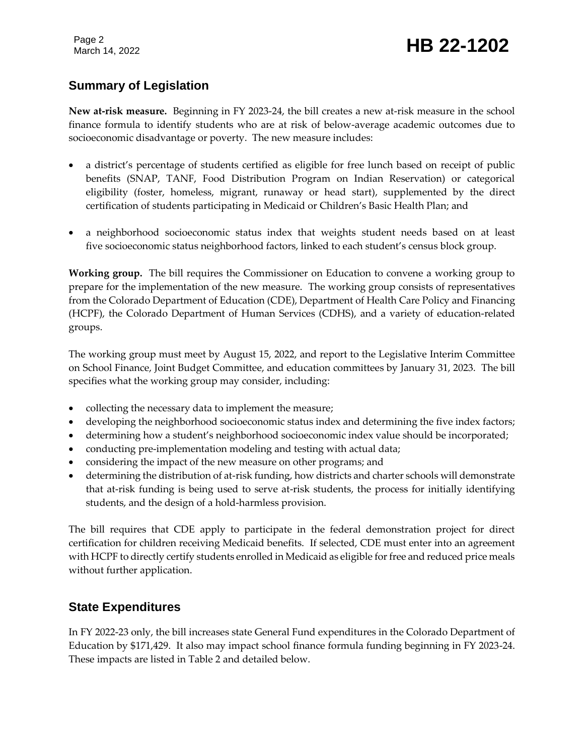Page 2

## Page 2<br>March 14, 2022 **HB 22-1202**

### **Summary of Legislation**

**New at-risk measure.** Beginning in FY 2023-24, the bill creates a new at-risk measure in the school finance formula to identify students who are at risk of below-average academic outcomes due to socioeconomic disadvantage or poverty. The new measure includes:

- a district's percentage of students certified as eligible for free lunch based on receipt of public benefits (SNAP, TANF, Food Distribution Program on Indian Reservation) or categorical eligibility (foster, homeless, migrant, runaway or head start), supplemented by the direct certification of students participating in Medicaid or Children's Basic Health Plan; and
- a neighborhood socioeconomic status index that weights student needs based on at least five socioeconomic status neighborhood factors, linked to each student's census block group.

**Working group.** The bill requires the Commissioner on Education to convene a working group to prepare for the implementation of the new measure. The working group consists of representatives from the Colorado Department of Education (CDE), Department of Health Care Policy and Financing (HCPF), the Colorado Department of Human Services (CDHS), and a variety of education-related groups.

The working group must meet by August 15, 2022, and report to the Legislative Interim Committee on School Finance, Joint Budget Committee, and education committees by January 31, 2023. The bill specifies what the working group may consider, including:

- collecting the necessary data to implement the measure;
- developing the neighborhood socioeconomic status index and determining the five index factors;
- determining how a student's neighborhood socioeconomic index value should be incorporated;
- conducting pre-implementation modeling and testing with actual data;
- considering the impact of the new measure on other programs; and
- determining the distribution of at-risk funding, how districts and charter schools will demonstrate that at-risk funding is being used to serve at-risk students, the process for initially identifying students, and the design of a hold-harmless provision.

The bill requires that CDE apply to participate in the federal demonstration project for direct certification for children receiving Medicaid benefits. If selected, CDE must enter into an agreement with HCPF to directly certify students enrolled in Medicaid as eligible for free and reduced price meals without further application.

#### **State Expenditures**

In FY 2022-23 only, the bill increases state General Fund expenditures in the Colorado Department of Education by \$171,429. It also may impact school finance formula funding beginning in FY 2023-24. These impacts are listed in Table 2 and detailed below.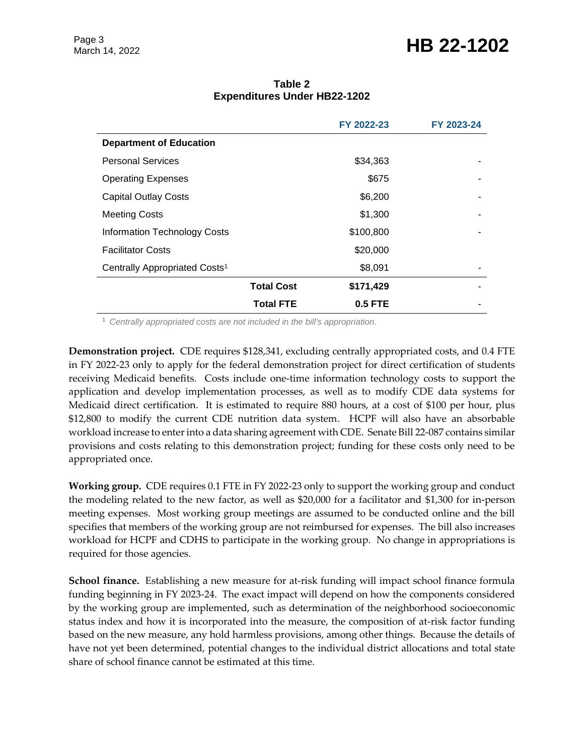### Page 3<br>March 14, 2022 **HB 22-1202**

|                                           |                   | FY 2022-23 | FY 2023-24 |
|-------------------------------------------|-------------------|------------|------------|
| <b>Department of Education</b>            |                   |            |            |
| <b>Personal Services</b>                  |                   | \$34,363   |            |
| <b>Operating Expenses</b>                 |                   | \$675      |            |
| <b>Capital Outlay Costs</b>               |                   | \$6,200    |            |
| <b>Meeting Costs</b>                      |                   | \$1,300    |            |
| <b>Information Technology Costs</b>       |                   | \$100,800  | ۰          |
| <b>Facilitator Costs</b>                  |                   | \$20,000   |            |
| Centrally Appropriated Costs <sup>1</sup> |                   | \$8,091    |            |
|                                           | <b>Total Cost</b> | \$171,429  | ۰          |
|                                           | <b>Total FTE</b>  | $0.5$ FTE  |            |

**Table 2 Expenditures Under HB22-1202**

<sup>1</sup> *Centrally appropriated costs are not included in the bill's appropriation.*

**Demonstration project.** CDE requires \$128,341, excluding centrally appropriated costs, and 0.4 FTE in FY 2022-23 only to apply for the federal demonstration project for direct certification of students receiving Medicaid benefits. Costs include one-time information technology costs to support the application and develop implementation processes, as well as to modify CDE data systems for Medicaid direct certification. It is estimated to require 880 hours, at a cost of \$100 per hour, plus \$12,800 to modify the current CDE nutrition data system. HCPF will also have an absorbable workload increase to enter into a data sharing agreement with CDE. Senate Bill 22-087 contains similar provisions and costs relating to this demonstration project; funding for these costs only need to be appropriated once.

**Working group.** CDE requires 0.1 FTE in FY 2022-23 only to support the working group and conduct the modeling related to the new factor, as well as \$20,000 for a facilitator and \$1,300 for in-person meeting expenses. Most working group meetings are assumed to be conducted online and the bill specifies that members of the working group are not reimbursed for expenses. The bill also increases workload for HCPF and CDHS to participate in the working group. No change in appropriations is required for those agencies.

**School finance.** Establishing a new measure for at-risk funding will impact school finance formula funding beginning in FY 2023-24. The exact impact will depend on how the components considered by the working group are implemented, such as determination of the neighborhood socioeconomic status index and how it is incorporated into the measure, the composition of at-risk factor funding based on the new measure, any hold harmless provisions, among other things. Because the details of have not yet been determined, potential changes to the individual district allocations and total state share of school finance cannot be estimated at this time.